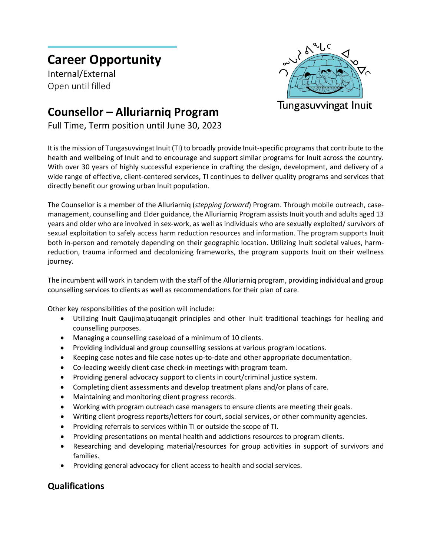## **Career Opportunity**

Internal/External Open until filled



## **Counsellor – Alluriarniq Program**

Full Time, Term position until June 30, 2023

It is the mission of Tungasuvvingat Inuit (TI) to broadly provide Inuit-specific programs that contribute to the health and wellbeing of Inuit and to encourage and support similar programs for Inuit across the country. With over 30 years of highly successful experience in crafting the design, development, and delivery of a wide range of effective, client-centered services, TI continues to deliver quality programs and services that directly benefit our growing urban Inuit population.

The Counsellor is a member of the Alluriarniq (*stepping forward*) Program. Through mobile outreach, casemanagement, counselling and Elder guidance, the Alluriarniq Program assists Inuit youth and adults aged 13 years and older who are involved in sex-work, as well as individuals who are sexually exploited/ survivors of sexual exploitation to safely access harm reduction resources and information. The program supports Inuit both in-person and remotely depending on their geographic location. Utilizing Inuit societal values, harmreduction, trauma informed and decolonizing frameworks, the program supports Inuit on their wellness journey.

The incumbent will work in tandem with the staff of the Alluriarniq program, providing individual and group counselling services to clients as well as recommendations for their plan of care.

Other key responsibilities of the position will include:

- Utilizing Inuit Qaujimajatuqangit principles and other Inuit traditional teachings for healing and counselling purposes.
- Managing a counselling caseload of a minimum of 10 clients.
- Providing individual and group counselling sessions at various program locations.
- Keeping case notes and file case notes up-to-date and other appropriate documentation.
- Co-leading weekly client case check-in meetings with program team.
- Providing general advocacy support to clients in court/criminal justice system.
- Completing client assessments and develop treatment plans and/or plans of care.
- Maintaining and monitoring client progress records.
- Working with program outreach case managers to ensure clients are meeting their goals.
- Writing client progress reports/letters for court, social services, or other community agencies.
- Providing referrals to services within TI or outside the scope of TI.
- Providing presentations on mental health and addictions resources to program clients.
- Researching and developing material/resources for group activities in support of survivors and families.
- Providing general advocacy for client access to health and social services.

## **Qualifications**